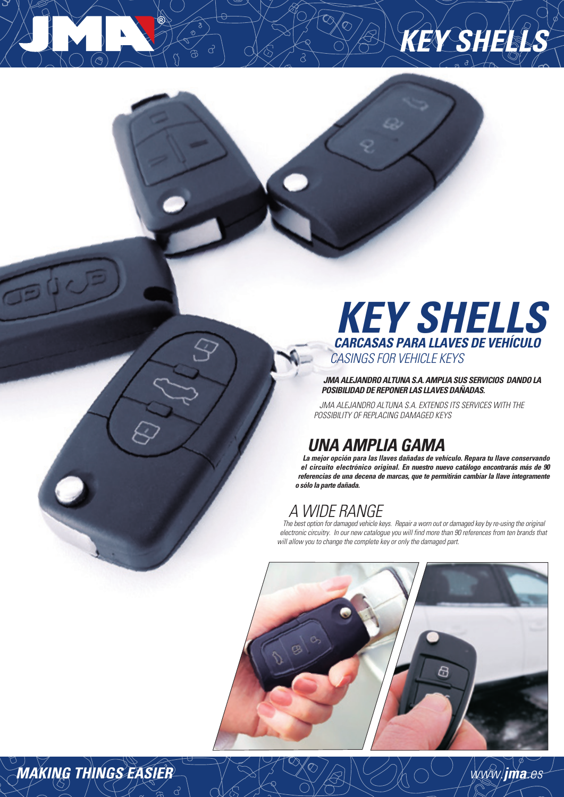

**KEY SH** 

**JMA ALEJANDRO ALTUNA S.A. AMPLIA SUS SERVICIOS DANDO LA POSIBILIDAD DE REPONER LAS LLAVES DAÑADAS.**

 JMA ALEJANDRO ALTUNA S.A. EXTENDS ITS SERVICES WITH THE POSSIBILITY OF REPLACING DAMAGED KEYS

## **UNA AMPLIA GAMA**

**La mejor opción para las llaves dañadas de vehículo. Repara tu llave conservando el circuito electrónico original. En nuestro nuevo catálogo encontrarás más de 90 referencias de una decena de marcas, que te permitirán cambiar la llave integramente o sólo la parte dañada.**

## A WIDE RANGE

The best option for damaged vehicle keys. Repair a worn out or damaged key by re-using the original electronic circuitry. In our new catalogue you will find more than 90 references from ten brands that will allow you to change the complete key or only the damaged part.



# **MAKING THINGS EASIER** www.**jma**.es